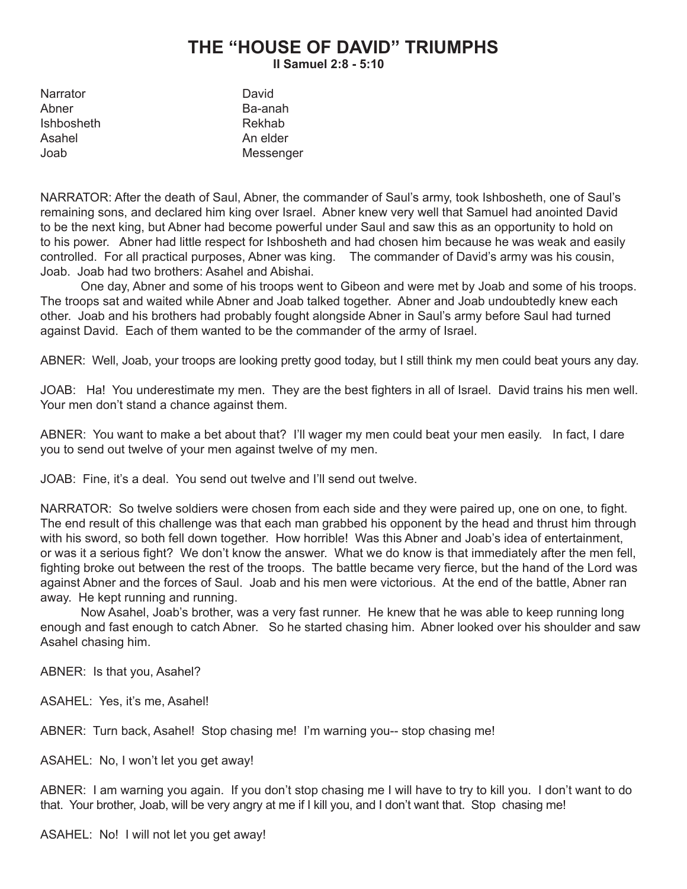## **THE "HOUSE OF DAVID" TRIUMPHS II Samuel 2:8 - 5:10**

| David     |
|-----------|
| Ba-anah   |
| Rekhab    |
| An elder  |
| Messenger |
|           |

NARRATOR: After the death of Saul, Abner, the commander of Saul's army, took Ishbosheth, one of Saul's remaining sons, and declared him king over Israel. Abner knew very well that Samuel had anointed David to be the next king, but Abner had become powerful under Saul and saw this as an opportunity to hold on to his power. Abner had little respect for Ishbosheth and had chosen him because he was weak and easily controlled. For all practical purposes, Abner was king. The commander of David's army was his cousin, Joab. Joab had two brothers: Asahel and Abishai.

One day, Abner and some of his troops went to Gibeon and were met by Joab and some of his troops. The troops sat and waited while Abner and Joab talked together. Abner and Joab undoubtedly knew each other. Joab and his brothers had probably fought alongside Abner in Saul's army before Saul had turned against David. Each of them wanted to be the commander of the army of Israel.

ABNER: Well, Joab, your troops are looking pretty good today, but I still think my men could beat yours any day.

JOAB: Ha! You underestimate my men. They are the best fighters in all of Israel. David trains his men well. Your men don't stand a chance against them.

ABNER: You want to make a bet about that? I'll wager my men could beat your men easily. In fact, I dare you to send out twelve of your men against twelve of my men.

JOAB: Fine, it's a deal. You send out twelve and I'll send out twelve.

NARRATOR: So twelve soldiers were chosen from each side and they were paired up, one on one, to fight. The end result of this challenge was that each man grabbed his opponent by the head and thrust him through with his sword, so both fell down together. How horrible! Was this Abner and Joab's idea of entertainment, or was it a serious fight? We don't know the answer. What we do know is that immediately after the men fell, fighting broke out between the rest of the troops. The battle became very fierce, but the hand of the Lord was against Abner and the forces of Saul. Joab and his men were victorious. At the end of the battle, Abner ran away. He kept running and running.

Now Asahel, Joab's brother, was a very fast runner. He knew that he was able to keep running long enough and fast enough to catch Abner. So he started chasing him. Abner looked over his shoulder and saw Asahel chasing him.

ABNER: Is that you, Asahel?

ASAHEL: Yes, it's me, Asahel!

ABNER: Turn back, Asahel! Stop chasing me! I'm warning you-- stop chasing me!

ASAHEL: No, I won't let you get away!

ABNER: I am warning you again. If you don't stop chasing me I will have to try to kill you. I don't want to do that. Your brother, Joab, will be very angry at me if I kill you, and I don't want that. Stop chasing me!

ASAHEL: No! I will not let you get away!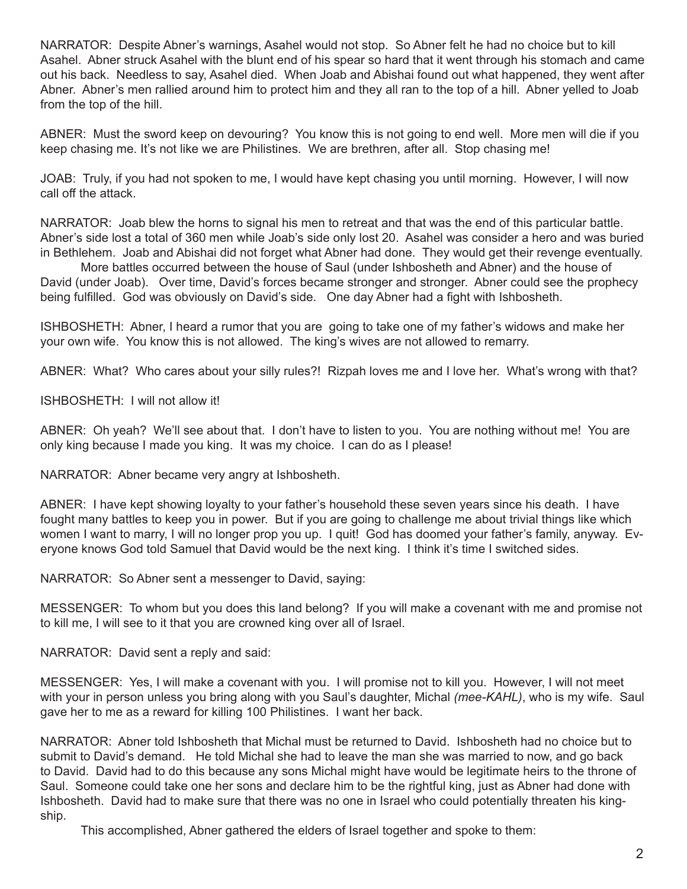NARRATOR: Despite Abner's warnings, Asahel would not stop. So Abner felt he had no choice but to kill Asahel. Abner struck Asahel with the blunt end of his spear so hard that it went through his stomach and came out his back. Needless to say, Asahel died. When Joab and Abishai found out what happened, they went after Abner. Abner's men rallied around him to protect him and they all ran to the top of a hill. Abner yelled to Joab from the top of the hill.

ABNER: Must the sword keep on devouring? You know this is not going to end well. More men will die if you keep chasing me. It's not like we are Philistines. We are brethren, after all. Stop chasing me!

JOAB: Truly, if you had not spoken to me, I would have kept chasing you until morning. However, I will now call off the attack.

NARRATOR: Joab blew the horns to signal his men to retreat and that was the end of this particular battle. Abner's side lost a total of 360 men while Joab's side only lost 20. Asahel was consider a hero and was buried in Bethlehem. Joab and Abishai did not forget what Abner had done. They would get their revenge eventually.

More battles occurred between the house of Saul (under Ishbosheth and Abner) and the house of David (under Joab). Over time, David's forces became stronger and stronger. Abner could see the prophecy being fulfilled. God was obviously on David's side. One day Abner had a fight with Ishbosheth.

ISHBOSHETH: Abner, I heard a rumor that you are going to take one of my father's widows and make her your own wife. You know this is not allowed. The king's wives are not allowed to remarry.

ABNER: What? Who cares about your silly rules?! Rizpah loves me and I love her. What's wrong with that?

ISHBOSHETH: I will not allow it!

ABNER: Oh yeah? We'll see about that. I don't have to listen to you. You are nothing without me! You are only king because I made you king. It was my choice. I can do as I please!

NARRATOR: Abner became very angry at Ishbosheth.

ABNER: I have kept showing loyalty to your father's household these seven years since his death. I have fought many battles to keep you in power. But if you are going to challenge me about trivial things like which women I want to marry, I will no longer prop you up. I quit! God has doomed your father's family, anyway. Everyone knows God told Samuel that David would be the next king. I think it's time I switched sides.

NARRATOR: So Abner sent a messenger to David, saying:

MESSENGER: To whom but you does this land belong? If you will make a covenant with me and promise not to kill me, I will see to it that you are crowned king over all of Israel.

NARRATOR: David sent a reply and said:

MESSENGER: Yes, I will make a covenant with you. I will promise not to kill you. However, I will not meet with your in person unless you bring along with you Saul's daughter, Michal *(mee-KAHL)*, who is my wife. Saul gave her to me as a reward for killing 100 Philistines. I want her back.

NARRATOR: Abner told Ishbosheth that Michal must be returned to David. Ishbosheth had no choice but to submit to David's demand. He told Michal she had to leave the man she was married to now, and go back to David. David had to do this because any sons Michal might have would be legitimate heirs to the throne of Saul. Someone could take one her sons and declare him to be the rightful king, just as Abner had done with Ishbosheth. David had to make sure that there was no one in Israel who could potentially threaten his kingship.

This accomplished, Abner gathered the elders of Israel together and spoke to them: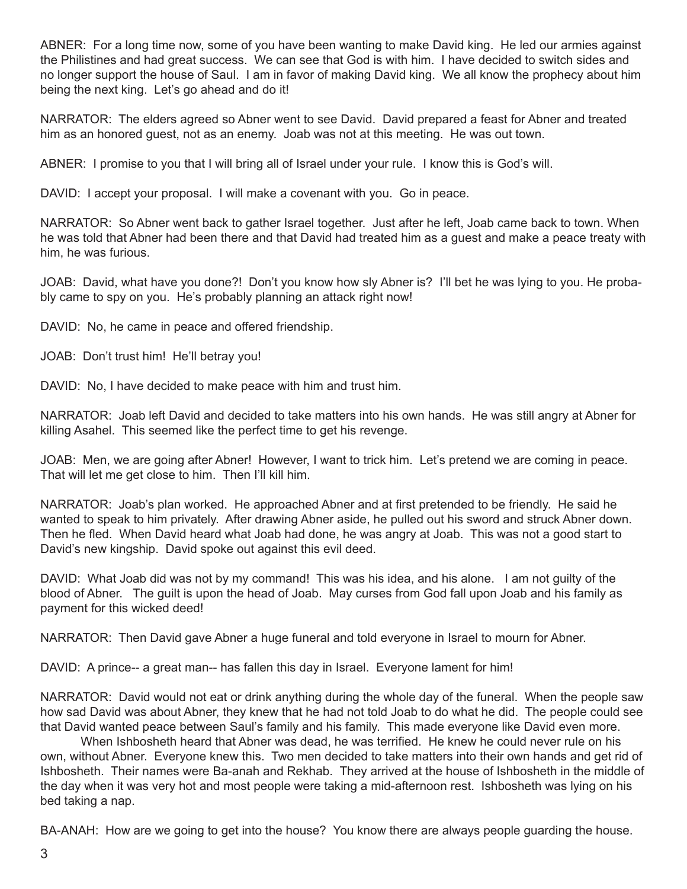ABNER: For a long time now, some of you have been wanting to make David king. He led our armies against the Philistines and had great success. We can see that God is with him. I have decided to switch sides and no longer support the house of Saul. I am in favor of making David king. We all know the prophecy about him being the next king. Let's go ahead and do it!

NARRATOR: The elders agreed so Abner went to see David. David prepared a feast for Abner and treated him as an honored guest, not as an enemy. Joab was not at this meeting. He was out town.

ABNER: I promise to you that I will bring all of Israel under your rule. I know this is God's will.

DAVID: I accept your proposal. I will make a covenant with you. Go in peace.

NARRATOR: So Abner went back to gather Israel together. Just after he left, Joab came back to town. When he was told that Abner had been there and that David had treated him as a guest and make a peace treaty with him, he was furious.

JOAB: David, what have you done?! Don't you know how sly Abner is? I'll bet he was lying to you. He probably came to spy on you. He's probably planning an attack right now!

DAVID: No, he came in peace and offered friendship.

JOAB: Don't trust him! He'll betray you!

DAVID: No, I have decided to make peace with him and trust him.

NARRATOR: Joab left David and decided to take matters into his own hands. He was still angry at Abner for killing Asahel. This seemed like the perfect time to get his revenge.

JOAB: Men, we are going after Abner! However, I want to trick him. Let's pretend we are coming in peace. That will let me get close to him. Then I'll kill him.

NARRATOR: Joab's plan worked. He approached Abner and at first pretended to be friendly. He said he wanted to speak to him privately. After drawing Abner aside, he pulled out his sword and struck Abner down. Then he fled. When David heard what Joab had done, he was angry at Joab. This was not a good start to David's new kingship. David spoke out against this evil deed.

DAVID: What Joab did was not by my command! This was his idea, and his alone. I am not quilty of the blood of Abner. The guilt is upon the head of Joab. May curses from God fall upon Joab and his family as payment for this wicked deed!

NARRATOR: Then David gave Abner a huge funeral and told everyone in Israel to mourn for Abner.

DAVID: A prince-- a great man-- has fallen this day in Israel. Everyone lament for him!

NARRATOR: David would not eat or drink anything during the whole day of the funeral. When the people saw how sad David was about Abner, they knew that he had not told Joab to do what he did. The people could see that David wanted peace between Saul's family and his family. This made everyone like David even more.

When Ishbosheth heard that Abner was dead, he was terrified. He knew he could never rule on his own, without Abner. Everyone knew this. Two men decided to take matters into their own hands and get rid of Ishbosheth. Their names were Ba-anah and Rekhab. They arrived at the house of Ishbosheth in the middle of the day when it was very hot and most people were taking a mid-afternoon rest. Ishbosheth was lying on his bed taking a nap.

BA-ANAH: How are we going to get into the house? You know there are always people guarding the house.